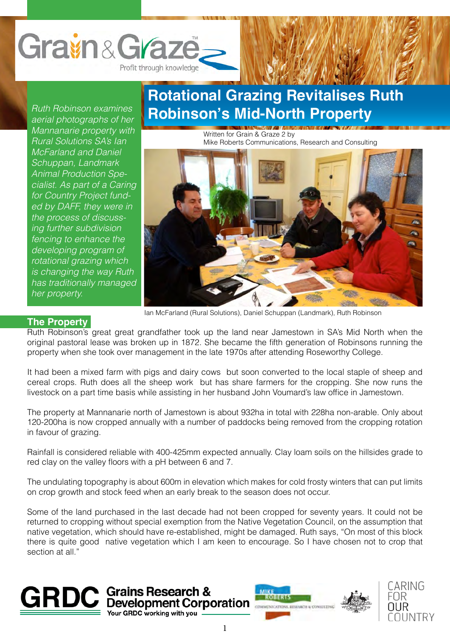

*Ruth Robinson examines aerial photographs of her Mannanarie property with Rural Solutions SA's Ian McFarland and Daniel Schuppan, Landmark Animal Production Specialist. As part of a Caring for Country Project funded by DAFF, they were in the process of discussing further subdivision fencing to enhance the developing program of rotational grazing which is changing the way Ruth has traditionally managed her property.*

## **Rotational Grazing Revitalises Ruth Robinson's Mid-North Property**

Written for Grain & Graze 2 by Mike Roberts Communications, Research and Consulting



Ian McFarland (Rural Solutions), Daniel Schuppan (Landmark), Ruth Robinson

### **The Property**

Ruth Robinson's great great grandfather took up the land near Jamestown in SA's Mid North when the original pastoral lease was broken up in 1872. She became the fifth generation of Robinsons running the property when she took over management in the late 1970s after attending Roseworthy College.

It had been a mixed farm with pigs and dairy cows but soon converted to the local staple of sheep and cereal crops. Ruth does all the sheep work but has share farmers for the cropping. She now runs the livestock on a part time basis while assisting in her husband John Voumard's law office in Jamestown.

The property at Mannanarie north of Jamestown is about 932ha in total with 228ha non-arable. Only about 120-200ha is now cropped annually with a number of paddocks being removed from the cropping rotation in favour of grazing.

Rainfall is considered reliable with 400-425mm expected annually. Clay loam soils on the hillsides grade to red clay on the valley floors with a pH between 6 and 7.

The undulating topography is about 600m in elevation which makes for cold frosty winters that can put limits on crop growth and stock feed when an early break to the season does not occur.

Some of the land purchased in the last decade had not been cropped for seventy years. It could not be returned to cropping without special exemption from the Native Vegetation Council, on the assumption that native vegetation, which should have re-established, might be damaged. Ruth says, "On most of this block there is quite good native vegetation which I am keen to encourage. So I have chosen not to crop that section at all."





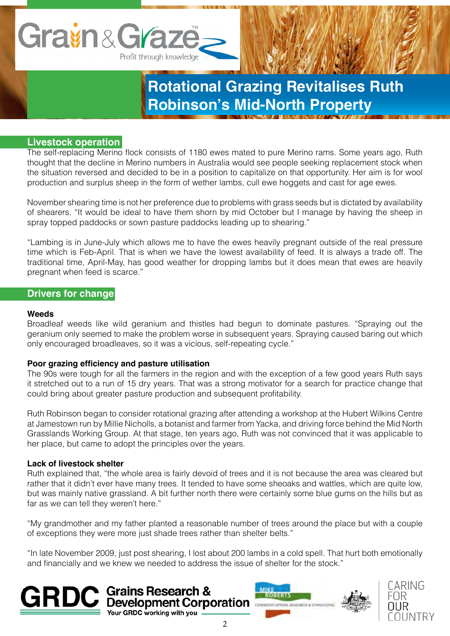

### **Livestock operation**

The self-replacing Merino flock consists of 1180 ewes mated to pure Merino rams. Some years ago, Ruth thought that the decline in Merino numbers in Australia would see people seeking replacement stock when the situation reversed and decided to be in a position to capitalize on that opportunity. Her aim is for wool production and surplus sheep in the form of wether lambs, cull ewe hoggets and cast for age ewes.

November shearing time is not her preference due to problems with grass seeds but is dictated by availability of shearers. "It would be ideal to have them shorn by mid October but I manage by having the sheep in spray topped paddocks or sown pasture paddocks leading up to shearing."

"Lambing is in June-July which allows me to have the ewes heavily pregnant outside of the real pressure time which is Feb-April. That is when we have the lowest availability of feed. It is always a trade off. The traditional time, April-May, has good weather for dropping lambs but it does mean that ewes are heavily pregnant when feed is scarce."

### **Drivers for change**

#### **Weeds**

Broadleaf weeds like wild geranium and thistles had begun to dominate pastures. "Spraying out the geranium only seemed to make the problem worse in subsequent years. Spraying caused baring out which only encouraged broadleaves, so it was a vicious, self-repeating cycle."

### **Poor grazing efficiency and pasture utilisation**

The 90s were tough for all the farmers in the region and with the exception of a few good years Ruth says it stretched out to a run of 15 dry years. That was a strong motivator for a search for practice change that could bring about greater pasture production and subsequent profitability.

Ruth Robinson began to consider rotational grazing after attending a workshop at the Hubert Wilkins Centre at Jamestown run by Millie Nicholls, a botanist and farmer from Yacka, and driving force behind the Mid North Grasslands Working Group. At that stage, ten years ago, Ruth was not convinced that it was applicable to her place, but came to adopt the principles over the years.

### **Lack of livestock shelter**

Ruth explained that, "the whole area is fairly devoid of trees and it is not because the area was cleared but rather that it didn't ever have many trees. It tended to have some sheoaks and wattles, which are quite low, but was mainly native grassland. A bit further north there were certainly some blue gums on the hills but as far as we can tell they weren't here."

"My grandmother and my father planted a reasonable number of trees around the place but with a couple of exceptions they were more just shade trees rather than shelter belts."

"In late November 2009, just post shearing, I lost about 200 lambs in a cold spell. That hurt both emotionally and financially and we knew we needed to address the issue of shelter for the stock."





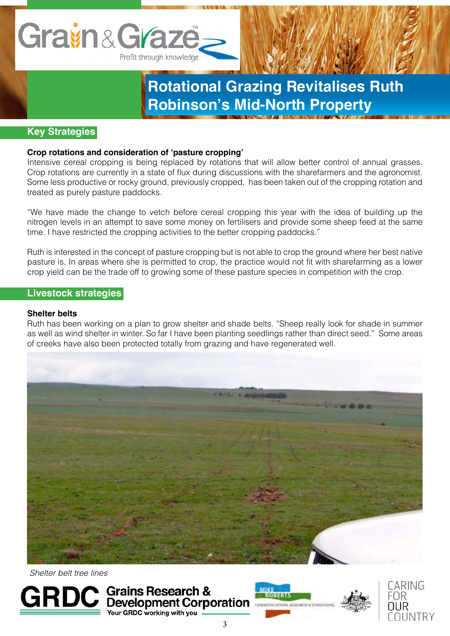

### **Key Strategies**

### **Crop rotations and consideration of 'pasture cropping'**

Intensive cereal cropping is being replaced by rotations that will allow better control of annual grasses. Crop rotations are currently in a state of flux during discussions with the sharefarmers and the agronomist. Some less productive or rocky ground, previously cropped, has been taken out of the cropping rotation and treated as purely pasture paddocks.

"We have made the change to vetch before cereal cropping this year with the idea of building up the nitrogen levels in an attempt to save some money on fertilisers and provide some sheep feed at the same time. I have restricted the cropping activities to the better cropping paddocks."

Ruth is interested in the concept of pasture cropping but is not able to crop the ground where her best native pasture is. In areas where she is permitted to crop, the practice would not fit with sharefarming as a lower crop yield can be the trade off to growing some of these pasture species in competition with the crop.

### **Livestock strategies**

### **Shelter belts**

Ruth has been working on a plan to grow shelter and shade belts. "Sheep really look for shade in summer as well as wind shelter in winter. So far I have been planting seedlings rather than direct seed." Some areas of creeks have also been protected totally from grazing and have regenerated well.



 *Shelter belt tree lines*





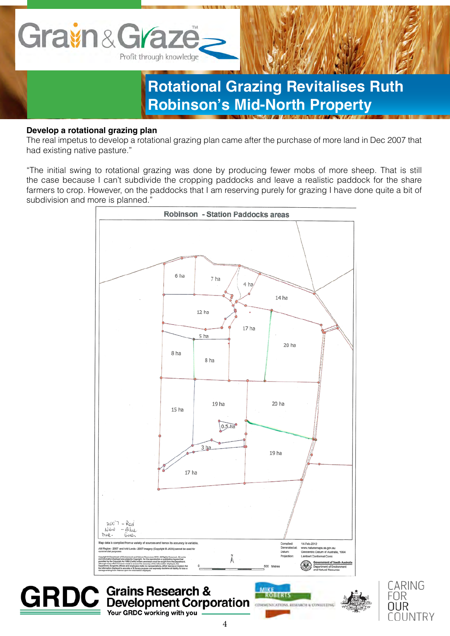

### **Develop a rotational grazing plan**

The real impetus to develop a rotational grazing plan came after the purchase of more land in Dec 2007 that had existing native pasture."

"The initial swing to rotational grazing was done by producing fewer mobs of more sheep. That is still the case because I can't subdivide the cropping paddocks and leave a realistic paddock for the share farmers to crop. However, on the paddocks that I am reserving purely for grazing I have done quite a bit of subdivision and more is planned."





MIKE

**ROBERT** 

COMMERCATIONS RESEA

**Grains Research &** 

Your GRDC working with you

**Development Corporation**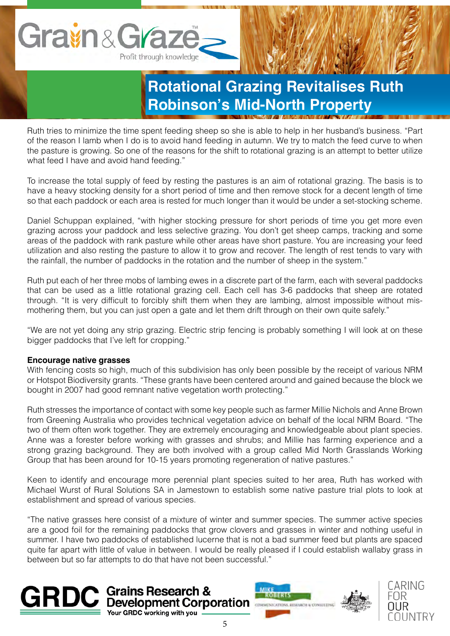

Ruth tries to minimize the time spent feeding sheep so she is able to help in her husband's business. "Part of the reason I lamb when I do is to avoid hand feeding in autumn. We try to match the feed curve to when the pasture is growing. So one of the reasons for the shift to rotational grazing is an attempt to better utilize what feed I have and avoid hand feeding."

To increase the total supply of feed by resting the pastures is an aim of rotational grazing. The basis is to have a heavy stocking density for a short period of time and then remove stock for a decent length of time so that each paddock or each area is rested for much longer than it would be under a set-stocking scheme.

Daniel Schuppan explained, "with higher stocking pressure for short periods of time you get more even grazing across your paddock and less selective grazing. You don't get sheep camps, tracking and some areas of the paddock with rank pasture while other areas have short pasture. You are increasing your feed utilization and also resting the pasture to allow it to grow and recover. The length of rest tends to vary with the rainfall, the number of paddocks in the rotation and the number of sheep in the system."

Ruth put each of her three mobs of lambing ewes in a discrete part of the farm, each with several paddocks that can be used as a little rotational grazing cell. Each cell has 3-6 paddocks that sheep are rotated through. "It is very difficult to forcibly shift them when they are lambing, almost impossible without mismothering them, but you can just open a gate and let them drift through on their own quite safely."

"We are not yet doing any strip grazing. Electric strip fencing is probably something I will look at on these bigger paddocks that I've left for cropping."

### **Encourage native grasses**

With fencing costs so high, much of this subdivision has only been possible by the receipt of various NRM or Hotspot Biodiversity grants. "These grants have been centered around and gained because the block we bought in 2007 had good remnant native vegetation worth protecting."

Ruth stresses the importance of contact with some key people such as farmer Millie Nichols and Anne Brown from Greening Australia who provides technical vegetation advice on behalf of the local NRM Board. "The two of them often work together. They are extremely encouraging and knowledgeable about plant species. Anne was a forester before working with grasses and shrubs; and Millie has farming experience and a strong grazing background. They are both involved with a group called Mid North Grasslands Working Group that has been around for 10-15 years promoting regeneration of native pastures."

Keen to identify and encourage more perennial plant species suited to her area, Ruth has worked with Michael Wurst of Rural Solutions SA in Jamestown to establish some native pasture trial plots to look at establishment and spread of various species.

"The native grasses here consist of a mixture of winter and summer species. The summer active species are a good foil for the remaining paddocks that grow clovers and grasses in winter and nothing useful in summer. I have two paddocks of established lucerne that is not a bad summer feed but plants are spaced quite far apart with little of value in between. I would be really pleased if I could establish wallaby grass in between but so far attempts to do that have not been successful."







∩I INTR`

**GRDC** working with you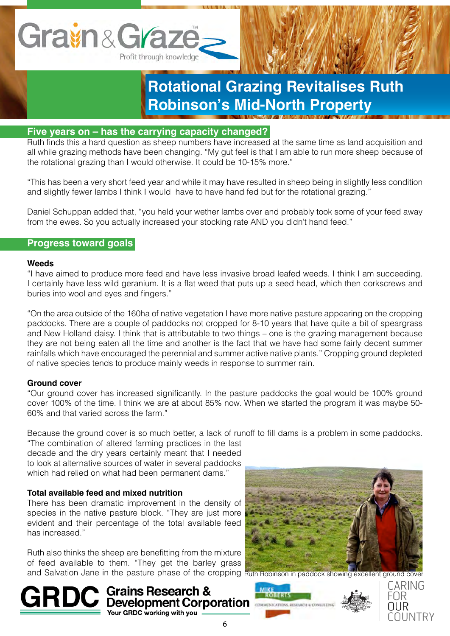

### **Five years on – has the carrying capacity changed?**

Ruth finds this a hard question as sheep numbers have increased at the same time as land acquisition and all while grazing methods have been changing. "My gut feel is that I am able to run more sheep because of the rotational grazing than I would otherwise. It could be 10-15% more."

"This has been a very short feed year and while it may have resulted in sheep being in slightly less condition and slightly fewer lambs I think I would have to have hand fed but for the rotational grazing."

Daniel Schuppan added that, "you held your wether lambs over and probably took some of your feed away from the ewes. So you actually increased your stocking rate AND you didn't hand feed."

### **Progress toward goals**

#### **Weeds**

"I have aimed to produce more feed and have less invasive broad leafed weeds. I think I am succeeding. I certainly have less wild geranium. It is a flat weed that puts up a seed head, which then corkscrews and buries into wool and eyes and fingers."

"On the area outside of the 160ha of native vegetation I have more native pasture appearing on the cropping paddocks. There are a couple of paddocks not cropped for 8-10 years that have quite a bit of speargrass and New Holland daisy. I think that is attributable to two things – one is the grazing management because they are not being eaten all the time and another is the fact that we have had some fairly decent summer rainfalls which have encouraged the perennial and summer active native plants." Cropping ground depleted of native species tends to produce mainly weeds in response to summer rain.

### **Ground cover**

"Our ground cover has increased significantly. In the pasture paddocks the goal would be 100% ground cover 100% of the time. I think we are at about 85% now. When we started the program it was maybe 50- 60% and that varied across the farm."

Because the ground cover is so much better, a lack of runoff to fill dams is a problem in some paddocks.

"The combination of altered farming practices in the last decade and the dry years certainly meant that I needed to look at alternative sources of water in several paddocks which had relied on what had been permanent dams."

### **Total available feed and mixed nutrition**

There has been dramatic improvement in the density of species in the native pasture block. "They are just more evident and their percentage of the total available feed has increased."

Ruth also thinks the sheep are benefitting from the mixture of feed available to them. "They get the barley grass and Salvation Jane in the pasture phase of the cropping Ruth Robinson in paddock showing excellent ground cover







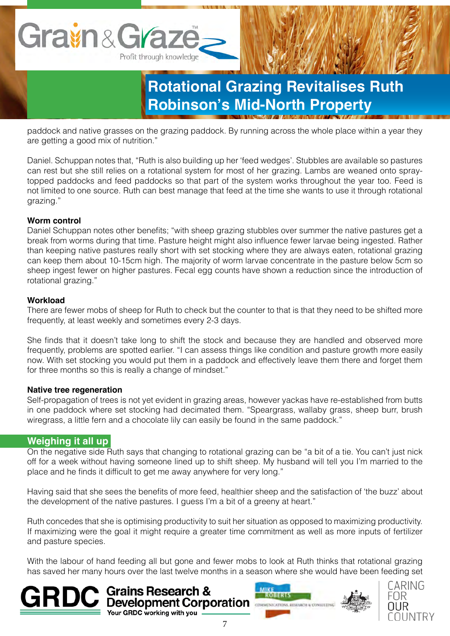

paddock and native grasses on the grazing paddock. By running across the whole place within a year they are getting a good mix of nutrition."

Daniel. Schuppan notes that, "Ruth is also building up her 'feed wedges'. Stubbles are available so pastures can rest but she still relies on a rotational system for most of her grazing. Lambs are weaned onto spraytopped paddocks and feed paddocks so that part of the system works throughout the year too. Feed is not limited to one source. Ruth can best manage that feed at the time she wants to use it through rotational grazing."

### **Worm control**

Daniel Schuppan notes other benefits; "with sheep grazing stubbles over summer the native pastures get a break from worms during that time. Pasture height might also influence fewer larvae being ingested. Rather than keeping native pastures really short with set stocking where they are always eaten, rotational grazing can keep them about 10-15cm high. The majority of worm larvae concentrate in the pasture below 5cm so sheep ingest fewer on higher pastures. Fecal egg counts have shown a reduction since the introduction of rotational grazing."

### **Workload**

There are fewer mobs of sheep for Ruth to check but the counter to that is that they need to be shifted more frequently, at least weekly and sometimes every 2-3 days.

She finds that it doesn't take long to shift the stock and because they are handled and observed more frequently, problems are spotted earlier. "I can assess things like condition and pasture growth more easily now. With set stocking you would put them in a paddock and effectively leave them there and forget them for three months so this is really a change of mindset."

### **Native tree regeneration**

Self-propagation of trees is not yet evident in grazing areas, however yackas have re-established from butts in one paddock where set stocking had decimated them. "Speargrass, wallaby grass, sheep burr, brush wiregrass, a little fern and a chocolate lily can easily be found in the same paddock."

### **Weighing it all up**

On the negative side Ruth says that changing to rotational grazing can be "a bit of a tie. You can't just nick off for a week without having someone lined up to shift sheep. My husband will tell you I'm married to the place and he finds it difficult to get me away anywhere for very long."

Having said that she sees the benefits of more feed, healthier sheep and the satisfaction of 'the buzz' about the development of the native pastures. I guess I'm a bit of a greeny at heart."

Ruth concedes that she is optimising productivity to suit her situation as opposed to maximizing productivity. If maximizing were the goal it might require a greater time commitment as well as more inputs of fertilizer and pasture species.

With the labour of hand feeding all but gone and fewer mobs to look at Ruth thinks that rotational grazing has saved her many hours over the last twelve months in a season where she would have been feeding set

Grains Research &

Your GRDC working with you